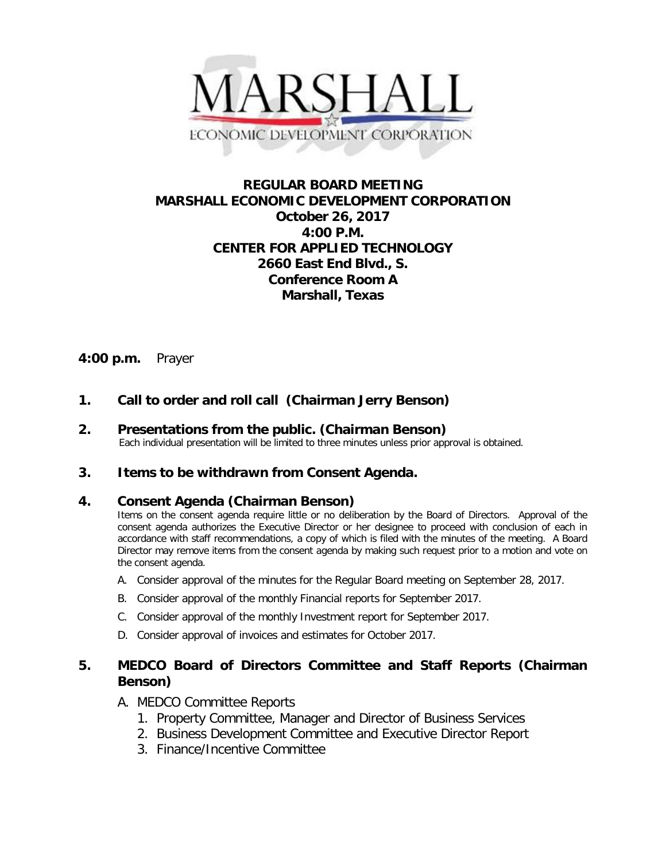

# **REGULAR BOARD MEETING MARSHALL ECONOMIC DEVELOPMENT CORPORATION October 26, 2017 4:00 P.M. CENTER FOR APPLIED TECHNOLOGY 2660 East End Blvd., S. Conference Room A Marshall, Texas**

# **4:00 p.m.** Prayer

### **1. Call to order and roll call (Chairman Jerry Benson)**

**2.** Presentations from the public. (Chairman Benson)<br>Each individual presentation will be limited to three minutes unless prior approval is obtained.

### **3. Items to be withdrawn from Consent Agenda.**

#### **4. Consent Agenda (Chairman Benson)**

Items on the consent agenda require little or no deliberation by the Board of Directors. Approval of the consent agenda authorizes the Executive Director or her designee to proceed with conclusion of each in accordance with staff recommendations, a copy of which is filed with the minutes of the meeting. A Board Director may remove items from the consent agenda by making such request prior to a motion and vote on the consent agenda.

- A. Consider approval of the minutes for the Regular Board meeting on September 28, 2017.
- B. Consider approval of the monthly Financial reports for September 2017.
- C. Consider approval of the monthly Investment report for September 2017.
- D. Consider approval of invoices and estimates for October 2017.

# **5. MEDCO Board of Directors Committee and Staff Reports (Chairman Benson)**

### A. MEDCO Committee Reports

- 1. Property Committee, Manager and Director of Business Services
- 2. Business Development Committee and Executive Director Report
- 3. Finance/Incentive Committee